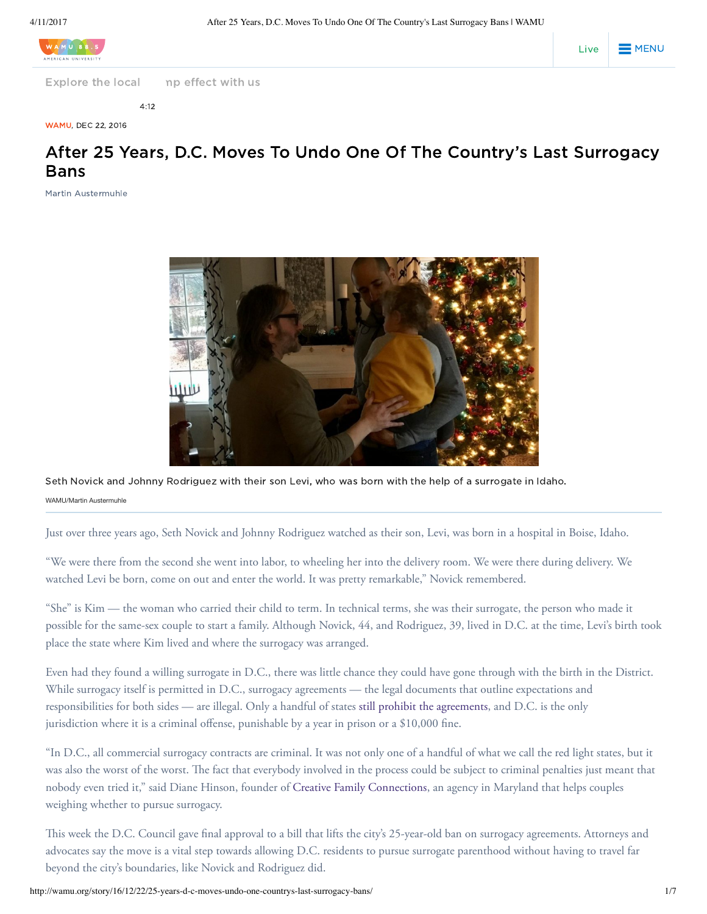WAMU88

 $4.12$ 

WAMU, DEC 22, 2016

# After 25 Years, D.C. Moves To Undo One Of The Country's Last Surrogacy Bans

Martin [Austermuhle](http://wamu.org/person/martin_austermuhle/)



Seth Novick and Johnny Rodriguez with their son Levi, who was born with the help of a surrogate in Idaho. WAMU/Martin Austermuhle

Just over three years ago, Seth Novick and Johnny Rodriguez watched as their son, Levi, was born in a hospital in Boise, Idaho.

"We were there from the second she went into labor, to wheeling her into the delivery room. We were there during delivery. We watched Levi be born, come on out and enter the world. It was pretty remarkable," Novick remembered.

"She" is Kim — the woman who carried their child to term. In technical terms, she was their surrogate, the person who made it possible for the same-sex couple to start a family. Although Novick, 44, and Rodriguez, 39, lived in D.C. at the time, Levi's birth took place the state where Kim lived and where the surrogacy was arranged.

Even had they found a willing surrogate in D.C., there was little chance they could have gone through with the birth in the District. While surrogacy itself is permitted in D.C., surrogacy agreements — the legal documents that outline expectations and responsibilities for both sides — are illegal. Only a handful of states [still prohibit the agreements](http://www.creativefamilyconnections.com/us-surrogacy-law-map), and D.C. is the only jurisdiction where it is a criminal offense, punishable by a year in prison or a  $$10,000$  fine.

"In D.C., all commercial surrogacy contracts are criminal. It was not only one of a handful of what we call the red light states, but it was also the worst of the worst. The fact that everybody involved in the process could be subject to criminal penalties just meant that nobody even tried it," said Diane Hinson, founder of [Creative Family Connections,](http://www.creativefamilyconnections.com/) an agency in Maryland that helps couples weighing whether to pursue surrogacy.

This week the D.C. Council gave final approval to a bill that lifts the city's 25-year-old ban on surrogacy agreements. Attorneys and advocates say the move is a vital step towards allowing D.C. residents to pursue surrogate parenthood without having to travel far beyond the city's boundaries, like Novick and Rodriguez did.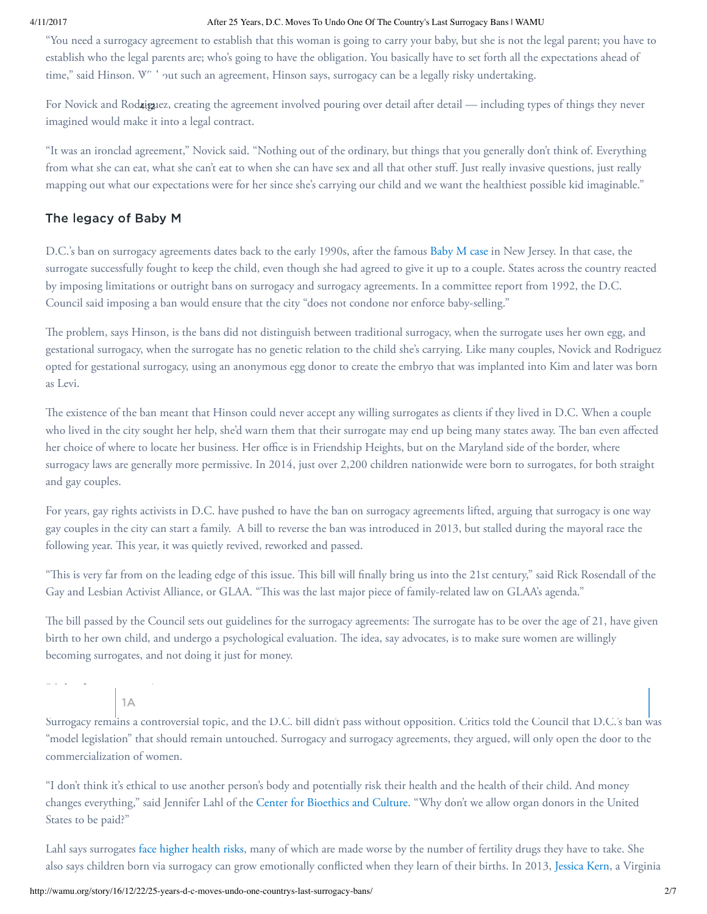### 4/11/2017 After 25 Years, D.C. Moves To Undo One Of The Country's Last Surrogacy Bans | WAMU

"You need a surrogacy agreement to establish that this woman is going to carry your baby, but she is not the legal parent; you have to establish who the legal parents are; who's going to have the obligation. You basically have to set forth all the expectations ahead of time," said Hinson. W<sup>rid</sup> ut such an agreement, Hinson says, surrogacy can be a legally risky undertaking.

For Novick and Rod**a**igatez, creating the agreement involved pouring over detail after detail — including types of things they never imagined would make it into a legal contract.

"It was an ironclad agreement," Novick said. "Nothing out of the ordinary, but things that you generally don't think of. Everything from what she can eat, what she can't eat to when she can have sex and all that other stuff. Just really invasive questions, just really mapping out what our expectations were for her since she's carrying our child and we want the healthiest possible kid imaginable."

# The legacy of Baby M

D.C.'s ban on surrogacy agreements dates back to the early 1990s, after the famous [Baby M case](https://en.wikipedia.org/wiki/Baby_M) in New Jersey. In that case, the surrogate successfully fought to keep the child, even though she had agreed to give it up to a couple. States across the country reacted by imposing limitations or outright bans on surrogacy and surrogacy agreements. In a committee report from 1992, the D.C. Council said imposing a ban would ensure that the city "does not condone nor enforce baby-selling."

The problem, says Hinson, is the bans did not distinguish between traditional surrogacy, when the surrogate uses her own egg, and gestational surrogacy, when the surrogate has no genetic relation to the child she's carrying. Like many couples, Novick and Rodriguez opted for gestational surrogacy, using an anonymous egg donor to create the embryo that was implanted into Kim and later was born as Levi.

The existence of the ban meant that Hinson could never accept any willing surrogates as clients if they lived in D.C. When a couple who lived in the city sought her help, she'd warn them that their surrogate may end up being many states away. The ban even affected her choice of where to locate her business. Her office is in Friendship Heights, but on the Maryland side of the border, where surrogacy laws are generally more permissive. In 2014, just over 2,200 children nationwide were born to surrogates, for both straight and gay couples.

For years, gay rights activists in D.C. have pushed to have the ban on surrogacy agreements lifted, arguing that surrogacy is one way gay couples in the city can start a family. A bill to reverse the ban was introduced in 2013, but stalled during the mayoral race the following year. This year, it was quietly revived, reworked and passed.

"This is very far from on the leading edge of this issue. This bill will finally bring us into the 21st century," said Rick Rosendall of the Gay and Lesbian Activist Alliance, or GLAA. "This was the last major piece of family-related law on GLAA's agenda."

The bill passed by the Council sets out guidelines for the surrogacy agreements: The surrogate has to be over the age of 21, have given birth to her own child, and undergo a psychological evaluation. The idea, say advocates, is to make sure women are willingly becoming surrogates, and not doing it just for money.

Risks for women? 1A

Surrogacy remains a controversial topic, and the D.C. bill didn't pass without opposition. Critics told the Council that D.C.'s ban was "model legislation" that should remain untouched. Surrogacy and surrogacy agreements, they argued, will only open the door to the commercialization of women.

"I don't think it's ethical to use another person's body and potentially risk their health and the health of their child. And money changes everything," said Jennifer Lahl of the [Center for Bioethics and Culture](http://www.cbc-network.org/). "Why don't we allow organ donors in the United States to be paid?"

Lahl says surrogates [face higher health risks](http://www.lcc.leg.mn/lcs/meetings/12082016/merrit_written_testimony.pdf), many of which are made worse by the number of fertility drugs they have to take. She also says children born via surrogacy can grow emotionally conflicted when they learn of their births. In 2013, [Jessica Kern,](https://vimeo.com/125756487) a Virginia